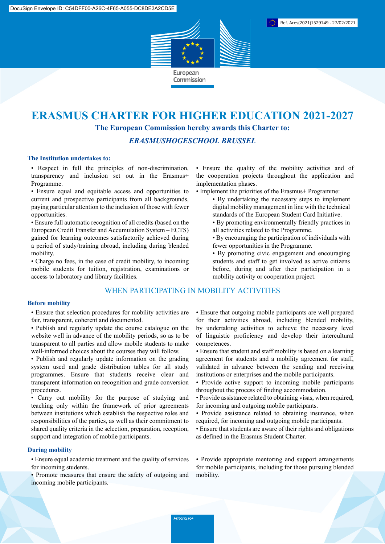

European Commission

# **ERASMUS CHARTER FOR HIGHER EDUCATION 2021-2027**

**The European Commission hereby awards this Charter to:**

*ERASMUSHOGESCHOOL BRUSSEL*

## **The Institution undertakes to:**

• Respect in full the principles of non-discrimination, transparency and inclusion set out in the Erasmus+ Programme.

• Ensure equal and equitable access and opportunities to current and prospective participants from all backgrounds, paying particular attention to the inclusion of those with fewer opportunities.

• Ensure full automatic recognition of all credits (based on the European Credit Transfer and Accumulation System – ECTS) gained for learning outcomes satisfactorily achieved during a period of study/training abroad, including during blended mobility.

• Charge no fees, in the case of credit mobility, to incoming mobile students for tuition, registration, examinations or access to laboratory and library facilities.

# WHEN PARTICIPATING IN MOBILITY ACTIVITIES

### **Before mobility**

• Ensure that selection procedures for mobility activities are fair, transparent, coherent and documented.

- Publish and regularly update the course catalogue on the website well in advance of the mobility periods, so as to be transparent to all parties and allow mobile students to make well-informed choices about the courses they will follow.
- Publish and regularly update information on the grading system used and grade distribution tables for all study programmes. Ensure that students receive clear and transparent information on recognition and grade conversion procedures.

• Carry out mobility for the purpose of studying and teaching only within the framework of prior agreements between institutions which establish the respective roles and responsibilities of the parties, as well as their commitment to shared quality criteria in the selection, preparation, reception, support and integration of mobile participants.

## **During mobility**

• Ensure equal academic treatment and the quality of services for incoming students.

• Promote measures that ensure the safety of outgoing and incoming mobile participants.

• Ensure the quality of the mobility activities and of the cooperation projects throughout the application and implementation phases.

- Implement the priorities of the Erasmus+ Programme:
	- By undertaking the necessary steps to implement digital mobility management in line with the technical standards of the European Student Card Initiative.
	- By promoting environmentally friendly practices in all activities related to the Programme.
	- By encouraging the participation of individuals with fewer opportunities in the Programme.
	- By promoting civic engagement and encouraging students and staff to get involved as active citizens before, during and after their participation in a mobility activity or cooperation project.

• Ensure that outgoing mobile participants are well prepared for their activities abroad, including blended mobility, by undertaking activities to achieve the necessary level of linguistic proficiency and develop their intercultural competences.

- Ensure that student and staff mobility is based on a learning agreement for students and a mobility agreement for staff, validated in advance between the sending and receiving institutions or enterprises and the mobile participants.
- Provide active support to incoming mobile participants throughout the process of finding accommodation.
- Provide assistance related to obtaining visas, when required, for incoming and outgoing mobile participants.
- Provide assistance related to obtaining insurance, when required, for incoming and outgoing mobile participants.
- Ensure that students are aware of their rights and obligations as defined in the Erasmus Student Charter.

• Provide appropriate mentoring and support arrangements for mobile participants, including for those pursuing blended mobility.

Erasmus+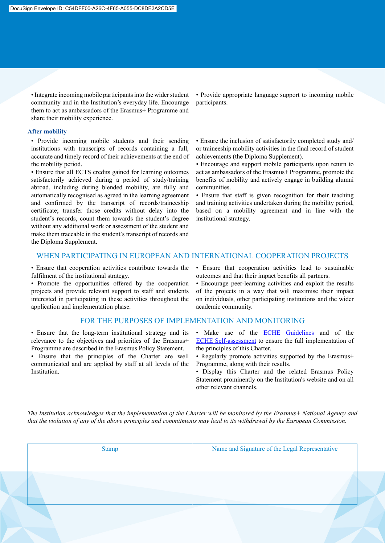• Integrate incoming mobile participants into the wider student community and in the Institution's everyday life. Encourage them to act as ambassadors of the Erasmus+ Programme and share their mobility experience.

#### **After mobility**

• Provide incoming mobile students and their sending institutions with transcripts of records containing a full, accurate and timely record of their achievements at the end of the mobility period.

• Ensure that all ECTS credits gained for learning outcomes satisfactorily achieved during a period of study/training abroad, including during blended mobility, are fully and automatically recognised as agreed in the learning agreement and confirmed by the transcript of records/traineeship certificate; transfer those credits without delay into the student's records, count them towards the student's degree without any additional work or assessment of the student and make them traceable in the student's transcript of records and the Diploma Supplement.

• Provide appropriate language support to incoming mobile participants.

• Ensure the inclusion of satisfactorily completed study and/ or traineeship mobility activities in the final record of student achievements (the Diploma Supplement).

• Encourage and support mobile participants upon return to act as ambassadors of the Erasmus+ Programme, promote the benefits of mobility and actively engage in building alumni communities.

• Ensure that staff is given recognition for their teaching and training activities undertaken during the mobility period, based on a mobility agreement and in line with the institutional strategy.

## WHEN PARTICIPATING IN EUROPEAN AND INTERNATIONAL COOPERATION PROJECTS

• Ensure that cooperation activities contribute towards the fulfilment of the institutional strategy.

• Promote the opportunities offered by the cooperation projects and provide relevant support to staff and students interested in participating in these activities throughout the application and implementation phase.

#### FOR THE PURPOSES OF IMPLEMENTATION AND MONITORING

• Ensure that the long-term institutional strategy and its relevance to the objectives and priorities of the Erasmus+ Programme are described in the Erasmus Policy Statement.

• Ensure that the principles of the Charter are well communicated and are applied by staff at all levels of the Institution.

• Ensure that cooperation activities lead to sustainable outcomes and that their impact benefits all partners.

• Encourage peer-learning activities and exploit the results of the projects in a way that will maximise their impact on individuals, other participating institutions and the wider academic community.

- Make use of the **ECHE Guidelines** and of the [ECHE Self-assessment](https://ec.europa.eu/programmes/erasmus-plus/eche/start_en) to ensure the full implementation of the principles of this Charter.
- Regularly promote activities supported by the Erasmus+ Programme, along with their results.
- Display this Charter and the related Erasmus Policy Statement prominently on the Institution's website and on all other relevant channels.

The Institution acknowledges that the implementation of the Charter will be monitored by the Erasmus+ National Agency and that the violation of any of the above principles and commitments may lead to its withdrawal by the European Commission.

| <b>Stamp</b> | Name and Signature of the Legal Representative |
|--------------|------------------------------------------------|
|              |                                                |
|              |                                                |
|              |                                                |
|              |                                                |